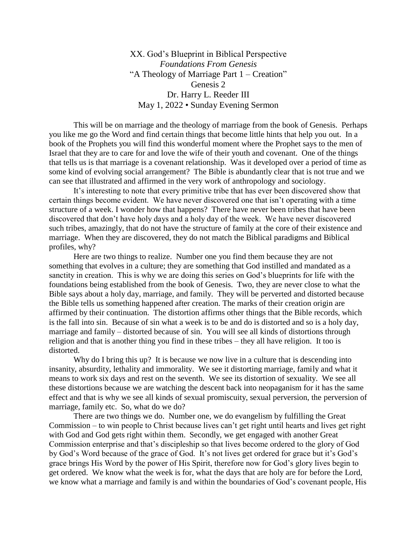XX. God's Blueprint in Biblical Perspective *Foundations From Genesis*  "A Theology of Marriage Part 1 – Creation" Genesis 2 Dr. Harry L. Reeder III May 1, 2022 • Sunday Evening Sermon

This will be on marriage and the theology of marriage from the book of Genesis. Perhaps you like me go the Word and find certain things that become little hints that help you out. In a book of the Prophets you will find this wonderful moment where the Prophet says to the men of Israel that they are to care for and love the wife of their youth and covenant. One of the things that tells us is that marriage is a covenant relationship. Was it developed over a period of time as some kind of evolving social arrangement? The Bible is abundantly clear that is not true and we can see that illustrated and affirmed in the very work of anthropology and sociology.

It's interesting to note that every primitive tribe that has ever been discovered show that certain things become evident. We have never discovered one that isn't operating with a time structure of a week. I wonder how that happens? There have never been tribes that have been discovered that don't have holy days and a holy day of the week. We have never discovered such tribes, amazingly, that do not have the structure of family at the core of their existence and marriage. When they are discovered, they do not match the Biblical paradigms and Biblical profiles, why?

Here are two things to realize. Number one you find them because they are not something that evolves in a culture; they are something that God instilled and mandated as a sanctity in creation. This is why we are doing this series on God's blueprints for life with the foundations being established from the book of Genesis. Two, they are never close to what the Bible says about a holy day, marriage, and family. They will be perverted and distorted because the Bible tells us something happened after creation. The marks of their creation origin are affirmed by their continuation. The distortion affirms other things that the Bible records, which is the fall into sin. Because of sin what a week is to be and do is distorted and so is a holy day, marriage and family – distorted because of sin. You will see all kinds of distortions through religion and that is another thing you find in these tribes – they all have religion. It too is distorted.

Why do I bring this up? It is because we now live in a culture that is descending into insanity, absurdity, lethality and immorality. We see it distorting marriage, family and what it means to work six days and rest on the seventh. We see its distortion of sexuality. We see all these distortions because we are watching the descent back into neopaganism for it has the same effect and that is why we see all kinds of sexual promiscuity, sexual perversion, the perversion of marriage, family etc. So, what do we do?

There are two things we do. Number one, we do evangelism by fulfilling the Great Commission – to win people to Christ because lives can't get right until hearts and lives get right with God and God gets right within them. Secondly, we get engaged with another Great Commission enterprise and that's discipleship so that lives become ordered to the glory of God by God's Word because of the grace of God. It's not lives get ordered for grace but it's God's grace brings His Word by the power of His Spirit, therefore now for God's glory lives begin to get ordered. We know what the week is for, what the days that are holy are for before the Lord, we know what a marriage and family is and within the boundaries of God's covenant people, His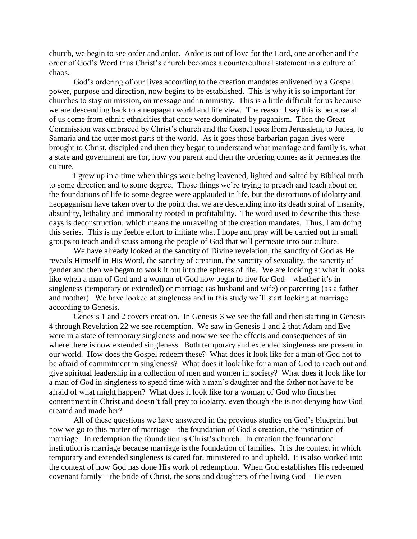church, we begin to see order and ardor. Ardor is out of love for the Lord, one another and the order of God's Word thus Christ's church becomes a countercultural statement in a culture of chaos.

God's ordering of our lives according to the creation mandates enlivened by a Gospel power, purpose and direction, now begins to be established. This is why it is so important for churches to stay on mission, on message and in ministry. This is a little difficult for us because we are descending back to a neopagan world and life view. The reason I say this is because all of us come from ethnic ethnicities that once were dominated by paganism. Then the Great Commission was embraced by Christ's church and the Gospel goes from Jerusalem, to Judea, to Samaria and the utter most parts of the world. As it goes those barbarian pagan lives were brought to Christ, discipled and then they began to understand what marriage and family is, what a state and government are for, how you parent and then the ordering comes as it permeates the culture.

I grew up in a time when things were being leavened, lighted and salted by Biblical truth to some direction and to some degree. Those things we're trying to preach and teach about on the foundations of life to some degree were applauded in life, but the distortions of idolatry and neopaganism have taken over to the point that we are descending into its death spiral of insanity, absurdity, lethality and immorality rooted in profitability. The word used to describe this these days is deconstruction, which means the unraveling of the creation mandates. Thus, I am doing this series. This is my feeble effort to initiate what I hope and pray will be carried out in small groups to teach and discuss among the people of God that will permeate into our culture.

We have already looked at the sanctity of Divine revelation, the sanctity of God as He reveals Himself in His Word, the sanctity of creation, the sanctity of sexuality, the sanctity of gender and then we began to work it out into the spheres of life. We are looking at what it looks like when a man of God and a woman of God now begin to live for God – whether it's in singleness (temporary or extended) or marriage (as husband and wife) or parenting (as a father and mother). We have looked at singleness and in this study we'll start looking at marriage according to Genesis.

Genesis 1 and 2 covers creation. In Genesis 3 we see the fall and then starting in Genesis 4 through Revelation 22 we see redemption. We saw in Genesis 1 and 2 that Adam and Eve were in a state of temporary singleness and now we see the effects and consequences of sin where there is now extended singleness. Both temporary and extended singleness are present in our world. How does the Gospel redeem these? What does it look like for a man of God not to be afraid of commitment in singleness? What does it look like for a man of God to reach out and give spiritual leadership in a collection of men and women in society? What does it look like for a man of God in singleness to spend time with a man's daughter and the father not have to be afraid of what might happen? What does it look like for a woman of God who finds her contentment in Christ and doesn't fall prey to idolatry, even though she is not denying how God created and made her?

All of these questions we have answered in the previous studies on God's blueprint but now we go to this matter of marriage – the foundation of God's creation, the institution of marriage. In redemption the foundation is Christ's church. In creation the foundational institution is marriage because marriage is the foundation of families. It is the context in which temporary and extended singleness is cared for, ministered to and upheld. It is also worked into the context of how God has done His work of redemption. When God establishes His redeemed covenant family – the bride of Christ, the sons and daughters of the living God – He even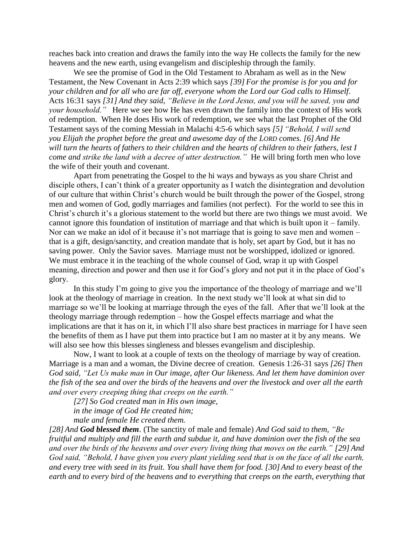reaches back into creation and draws the family into the way He collects the family for the new heavens and the new earth, using evangelism and discipleship through the family.

We see the promise of God in the Old Testament to Abraham as well as in the New Testament, the New Covenant in Acts 2:39 which says *[39] For the promise is for you and for your children and for all who are far off, everyone whom the Lord our God calls to Himself*. Acts 16:31 says *[31] And they said, "Believe in the Lord Jesus, and you will be saved, you and your household."* Here we see how He has even drawn the family into the context of His work of redemption. When He does His work of redemption, we see what the last Prophet of the Old Testament says of the coming Messiah in Malachi 4:5-6 which says *[5] "Behold, I will send you Elijah the prophet before the great and awesome day of the LORD comes. [6] And He will turn the hearts of fathers to their children and the hearts of children to their fathers, lest I come and strike the land with a decree of utter destruction."* He will bring forth men who love the wife of their youth and covenant.

Apart from penetrating the Gospel to the hi ways and byways as you share Christ and disciple others, I can't think of a greater opportunity as I watch the disintegration and devolution of our culture that within Christ's church would be built through the power of the Gospel, strong men and women of God, godly marriages and families (not perfect). For the world to see this in Christ's church it's a glorious statement to the world but there are two things we must avoid. We cannot ignore this foundation of institution of marriage and that which is built upon it – family. Nor can we make an idol of it because it's not marriage that is going to save men and women – that is a gift, design/sanctity, and creation mandate that is holy, set apart by God, but it has no saving power. Only the Savior saves. Marriage must not be worshipped, idolized or ignored. We must embrace it in the teaching of the whole counsel of God, wrap it up with Gospel meaning, direction and power and then use it for God's glory and not put it in the place of God's glory.

In this study I'm going to give you the importance of the theology of marriage and we'll look at the theology of marriage in creation. In the next study we'll look at what sin did to marriage so we'll be looking at marriage through the eyes of the fall. After that we'll look at the theology marriage through redemption – how the Gospel effects marriage and what the implications are that it has on it, in which I'll also share best practices in marriage for I have seen the benefits of them as I have put them into practice but I am no master at it by any means. We will also see how this blesses singleness and blesses evangelism and discipleship.

Now, I want to look at a couple of texts on the theology of marriage by way of creation. Marriage is a man and a woman, the Divine decree of creation. Genesis 1:26-31 says *[26] Then God said, "Let Us make man in Our image, after Our likeness. And let them have dominion over the fish of the sea and over the birds of the heavens and over the livestock and over all the earth and over every creeping thing that creeps on the earth."* 

*[27] So God created man in His own image,*

*in the image of God He created him; male and female He created them.* 

*[28] And God blessed them.* (The sanctity of male and female) *And God said to them, "Be fruitful and multiply and fill the earth and subdue it, and have dominion over the fish of the sea and over the birds of the heavens and over every living thing that moves on the earth." [29] And God said, "Behold, I have given you every plant yielding seed that is on the face of all the earth, and every tree with seed in its fruit. You shall have them for food. [30] And to every beast of the earth and to every bird of the heavens and to everything that creeps on the earth, everything that*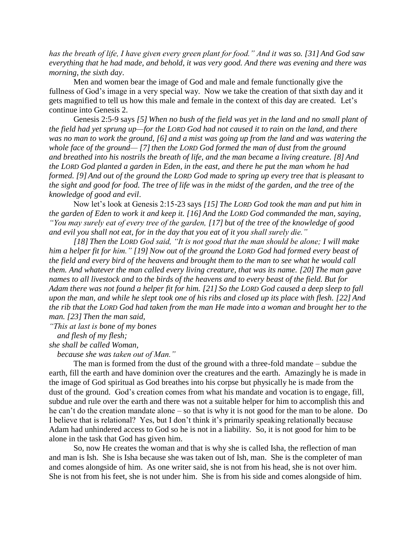*has the breath of life, I have given every green plant for food." And it was so. [31] And God saw everything that he had made, and behold, it was very good. And there was evening and there was morning, the sixth day*.

Men and women bear the image of God and male and female functionally give the fullness of God's image in a very special way. Now we take the creation of that sixth day and it gets magnified to tell us how this male and female in the context of this day are created. Let's continue into Genesis 2.

Genesis 2:5-9 says *[5] When no bush of the field was yet in the land and no small plant of the field had yet sprung up—for the LORD God had not caused it to rain on the land, and there was no man to work the ground, [6] and a mist was going up from the land and was watering the whole face of the ground—* [7] then the LORD God formed the man of dust from the ground *and breathed into his nostrils the breath of life, and the man became a living creature. [8] And the LORD God planted a garden in Eden, in the east, and there he put the man whom he had formed. [9] And out of the ground the LORD God made to spring up every tree that is pleasant to the sight and good for food. The tree of life was in the midst of the garden, and the tree of the knowledge of good and evil*.

Now let's look at Genesis 2:15-23 says *[15] The LORD God took the man and put him in the garden of Eden to work it and keep it. [16] And the LORD God commanded the man, saying, "You may surely eat of every tree of the garden, [17] but of the tree of the knowledge of good and evil you shall not eat, for in the day that you eat of it you shall surely die."* 

*[18] Then the LORD God said, "It is not good that the man should be alone; I will make him a helper fit for him." [19] Now out of the ground the LORD God had formed every beast of the field and every bird of the heavens and brought them to the man to see what he would call them. And whatever the man called every living creature, that was its name. [20] The man gave names to all livestock and to the birds of the heavens and to every beast of the field. But for Adam there was not found a helper fit for him. [21] So the LORD God caused a deep sleep to fall upon the man, and while he slept took one of his ribs and closed up its place with flesh. [22] And the rib that the LORD God had taken from the man He made into a woman and brought her to the man. [23] Then the man said,*

*"This at last is bone of my bones and flesh of my flesh;*

*she shall be called Woman,*

 *because she was taken out of Man."* 

The man is formed from the dust of the ground with a three-fold mandate – subdue the earth, fill the earth and have dominion over the creatures and the earth. Amazingly he is made in the image of God spiritual as God breathes into his corpse but physically he is made from the dust of the ground. God's creation comes from what his mandate and vocation is to engage, fill, subdue and rule over the earth and there was not a suitable helper for him to accomplish this and he can't do the creation mandate alone – so that is why it is not good for the man to be alone. Do I believe that is relational? Yes, but I don't think it's primarily speaking relationally because Adam had unhindered access to God so he is not in a liability. So, it is not good for him to be alone in the task that God has given him.

So, now He creates the woman and that is why she is called Isha, the reflection of man and man is Ish. She is Isha because she was taken out of Ish, man. She is the completer of man and comes alongside of him. As one writer said, she is not from his head, she is not over him. She is not from his feet, she is not under him. She is from his side and comes alongside of him.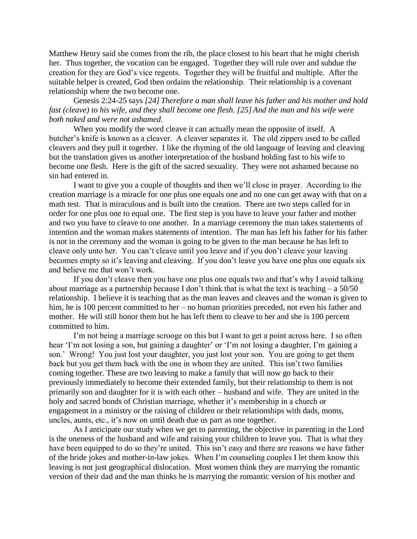Matthew Henry said she comes from the rib, the place closest to his heart that he might cherish her. Thus together, the vocation can be engaged. Together they will rule over and subdue the creation for they are God's vice regents. Together they will be fruitful and multiple. After the suitable helper is created, God then ordains the relationship. Their relationship is a covenant relationship where the two become one.

Genesis 2:24-25 says *[24] Therefore a man shall leave his father and his mother and hold fast (cleave) to his wife, and they shall become one flesh. [25] And the man and his wife were both naked and were not ashamed*.

When you modify the word cleave it can actually mean the opposite of itself. A butcher's knife is known as a cleaver. A cleaver separates it. The old zippers used to be called cleavers and they pull it together. I like the rhyming of the old language of leaving and cleaving but the translation gives us another interpretation of the husband holding fast to his wife to become one flesh. Here is the gift of the sacred sexuality. They were not ashamed because no sin had entered in.

I want to give you a couple of thoughts and then we'll close in prayer. According to the creation marriage is a miracle for one plus one equals one and no one can get away with that on a math test. That is miraculous and is built into the creation. There are two steps called for in order for one plus one to equal one. The first step is you have to leave your father and mother and two you have to cleave to one another. In a marriage ceremony the man takes statements of intention and the woman makes statements of intention. The man has left his father for his father is not in the ceremony and the woman is going to be given to the man because he has left to cleave only unto her. You can't cleave until you leave and if you don't cleave your leaving becomes empty so it's leaving and cleaving. If you don't leave you have one plus one equals six and believe me that won't work.

If you don't cleave then you have one plus one equals two and that's why I avoid talking about marriage as a partnership because I don't think that is what the text is teaching  $- a 50/50$ relationship. I believe it is teaching that as the man leaves and cleaves and the woman is given to him, he is 100 percent committed to her – no human priorities preceded, not even his father and mother. He will still honor them but he has left them to cleave to her and she is 100 percent committed to him.

I'm not being a marriage scrooge on this but I want to get a point across here. I so often hear 'I'm not losing a son, but gaining a daughter' or 'I'm not losing a daughter, I'm gaining a son.' Wrong! You just lost your daughter, you just lost your son. You are going to get them back but you get them back with the one in whom they are united. This isn't two families coming together. These are two leaving to make a family that will now go back to their previously immediately to become their extended family, but their relationship to them is not primarily son and daughter for it is with each other – husband and wife. They are united in the holy and sacred bonds of Christian marriage, whether it's membership in a church or engagement in a ministry or the raising of children or their relationships with dads, moms, uncles, aunts, etc., it's now on until death due us part as one together.

As I anticipate our study when we get to parenting, the objective in parenting in the Lord is the oneness of the husband and wife and raising your children to leave you. That is what they have been equipped to do so they're united. This isn't easy and there are reasons we have father of the bride jokes and mother-in-law jokes. When I'm counseling couples I let them know this leaving is not just geographical dislocation. Most women think they are marrying the romantic version of their dad and the man thinks he is marrying the romantic version of his mother and